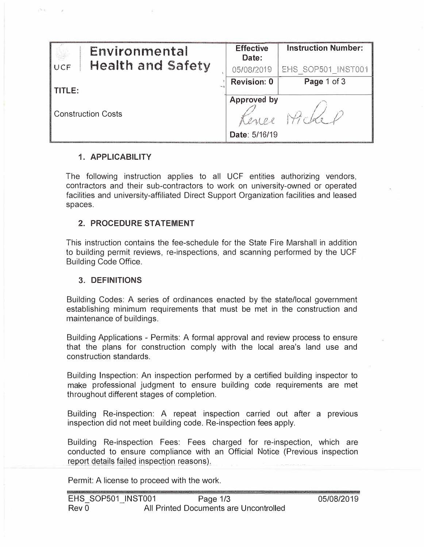| Environmental                   | <b>Effective</b><br>Date: | <b>Instruction Number:</b> |
|---------------------------------|---------------------------|----------------------------|
| <b>Health and Safety</b><br>UCF | 05/08/2019                | EHS SOP501 INST001         |
| TITLE:                          | <b>Revision: 0</b>        | Page 1 of 3                |
|                                 | Approved by               |                            |
| <b>Construction Costs</b>       | Lenee                     | Micke                      |
|                                 | Date: 5/16/19             |                            |

#### **1. APPLICABILITY**

pS in

The following instruction applies to all UCF entities authorizing vendors, contractors and their sub-contractors to work on university-owned or operated facilities and university-affiliated Direct Support Organization facilities and leased spaces.

### **2. PROCEDURE STATEMENT**

This instruction contains the fee-schedule for the State Fire Marshall in addition to building permit reviews, re-inspections, and scanning performed by the UCF Building Code Office.

#### **3. DEFINITIONS**

Building Codes: A series of ordinances enacted by the state/local government establishing minimum requirements that must be met in the construction and maintenance of buildings.

Building Applications - Permits: A formal approval and review process to ensure that the plans for construction comply with the local area's land use and construction standards.

Building Inspection: An inspection performed by a certified building inspector to make professional judgment to ensure building code requirements are met throughout different stages of completion.

Building Re-inspection: A repeat inspection carried out after a previous inspection did not meet building code, Re-inspection fees apply.

Building Re-inspection Fees: Fees charged for re-inspection, which are conducted to ensure compliance with an Official Notice (Previous inspection report details failed inspection reasons).

Permit: A license to proceed with the work.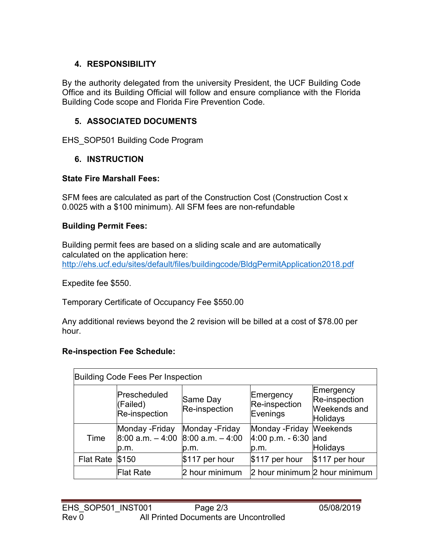# **4. RESPONSIBILITY**

By the authority delegated from the university President, the UCF Building Code Office and its Building Official will follow and ensure compliance with the Florida Building Code scope and Florida Fire Prevention Code.

# **5. ASSOCIATED DOCUMENTS**

EHS SOP501 Building Code Program

# **6. INSTRUCTION**

## **State Fire Marshall Fees:**

SFM fees are calculated as part of the Construction Cost (Construction Cost x 0.0025 with a \$100 minimum). All SFM fees are non-refundable

## **Building Permit Fees:**

Building permit fees are based on a sliding scale and are automatically calculated on the application here: <http://ehs.ucf.edu/sites/default/files/buildingcode/BldgPermitApplication2018.pdf>

Expedite fee \$550.

Temporary Certificate of Occupancy Fee \$550.00

Any additional reviews beyond the 2 revision will be billed at a cost of \$78.00 per hour.

## **Re-inspection Fee Schedule:**

| Building Code Fees Per Inspection |                                                |                                                |                                               |                                                        |  |
|-----------------------------------|------------------------------------------------|------------------------------------------------|-----------------------------------------------|--------------------------------------------------------|--|
|                                   | Prescheduled<br>(Failed)<br>Re-inspection      | Same Day<br>Re-inspection                      | Emergency<br>Re-inspection<br>Evenings        | Emergency<br>Re-inspection<br>Weekends and<br>Holidays |  |
| Time                              | Monday - Friday<br>$8:00$ a.m. $-4:00$<br>b.m. | Monday - Friday<br>$8:00$ a.m. $-4:00$<br>p.m. | Monday - Friday<br>$4:00$ p.m. - 6:30<br>p.m. | <b>Weekends</b><br>land<br><b>Holidays</b>             |  |
| <b>Flat Rate</b>                  | \$150                                          | $$117$ per hour                                | $$117$ per hour                               | \$117 per hour                                         |  |
|                                   | Flat Rate                                      | 2 hour minimum                                 | 2 hour minimum 2 hour minimum                 |                                                        |  |